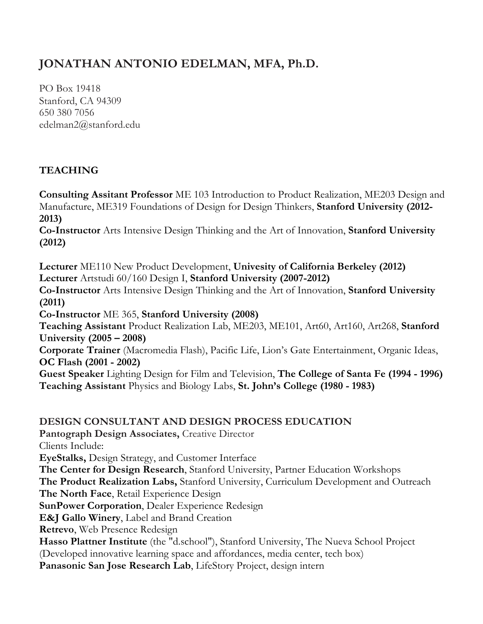# **JONATHAN ANTONIO EDELMAN, MFA, Ph.D.**

PO Box 19418 Stanford, CA 94309 650 380 7056 edelman2@stanford.edu

# **TEACHING**

**Consulting Assitant Professor** ME 103 Introduction to Product Realization, ME203 Design and Manufacture, ME319 Foundations of Design for Design Thinkers, **Stanford University (2012- 2013)**

**Co-Instructor** Arts Intensive Design Thinking and the Art of Innovation, **Stanford University (2012)**

**Lecturer** ME110 New Product Development, **Univesity of California Berkeley (2012) Lecturer** Artstudi 60/160 Design I, **Stanford University (2007-2012)**

**Co-Instructor** Arts Intensive Design Thinking and the Art of Innovation, **Stanford University (2011)**

**Co-Instructor** ME 365, **Stanford University (2008)**

**Teaching Assistant** Product Realization Lab, ME203, ME101, Art60, Art160, Art268, **Stanford University (2005 – 2008)**

**Corporate Trainer** (Macromedia Flash), Pacific Life, Lion's Gate Entertainment, Organic Ideas, **OC Flash (2001 - 2002)**

**Guest Speaker** Lighting Design for Film and Television, **The College of Santa Fe (1994 - 1996) Teaching Assistant** Physics and Biology Labs, **St. John's College (1980 - 1983)**

#### **DESIGN CONSULTANT AND DESIGN PROCESS EDUCATION**

**Pantograph Design Associates,** Creative Director Clients Include: **EyeStalks,** Design Strategy, and Customer Interface **The Center for Design Research**, Stanford University, Partner Education Workshops **The Product Realization Labs,** Stanford University, Curriculum Development and Outreach **The North Face**, Retail Experience Design **SunPower Corporation**, Dealer Experience Redesign **E&J Gallo Winery**, Label and Brand Creation **Retrevo**, Web Presence Redesign **Hasso Plattner Institute** (the "d.school"), Stanford University, The Nueva School Project (Developed innovative learning space and affordances, media center, tech box) **Panasonic San Jose Research Lab**, LifeStory Project, design intern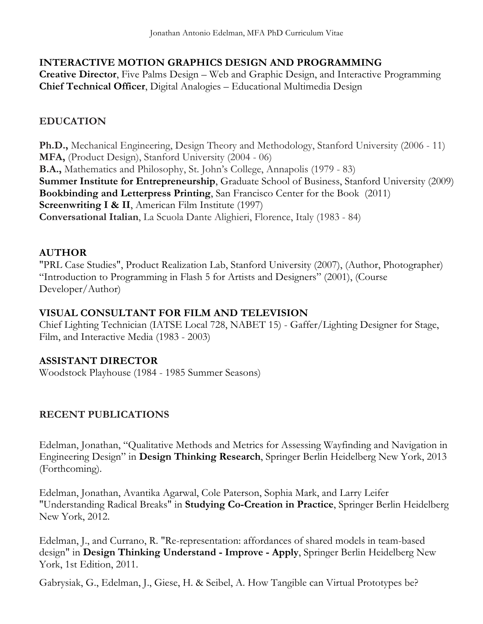#### **INTERACTIVE MOTION GRAPHICS DESIGN AND PROGRAMMING**

**Creative Director**, Five Palms Design – Web and Graphic Design, and Interactive Programming **Chief Technical Officer**, Digital Analogies – Educational Multimedia Design

## **EDUCATION**

**Ph.D.,** Mechanical Engineering, Design Theory and Methodology, Stanford University (2006 - 11) **MFA,** (Product Design), Stanford University (2004 - 06) **B.A.,** Mathematics and Philosophy, St. John's College, Annapolis (1979 - 83) **Summer Institute for Entrepreneurship**, Graduate School of Business, Stanford University (2009) **Bookbinding and Letterpress Printing**, San Francisco Center for the Book (2011) **Screenwriting I & II**, American Film Institute (1997) **Conversational Italian**, La Scuola Dante Alighieri, Florence, Italy (1983 - 84)

#### **AUTHOR**

"PRL Case Studies", Product Realization Lab, Stanford University (2007), (Author, Photographer) "Introduction to Programming in Flash 5 for Artists and Designers" (2001), (Course Developer/Author)

#### **VISUAL CONSULTANT FOR FILM AND TELEVISION**

Chief Lighting Technician (IATSE Local 728, NABET 15) - Gaffer/Lighting Designer for Stage, Film, and Interactive Media (1983 - 2003)

## **ASSISTANT DIRECTOR**

Woodstock Playhouse (1984 - 1985 Summer Seasons)

#### **RECENT PUBLICATIONS**

Edelman, Jonathan, "Qualitative Methods and Metrics for Assessing Wayfinding and Navigation in Engineering Design" in **Design Thinking Research**, Springer Berlin Heidelberg New York, 2013 (Forthcoming).

Edelman, Jonathan, Avantika Agarwal, Cole Paterson, Sophia Mark, and Larry Leifer "Understanding Radical Breaks" in **Studying Co-Creation in Practice**, Springer Berlin Heidelberg New York, 2012.

Edelman, J., and Currano, R. "Re-representation: affordances of shared models in team-based design" in **Design Thinking Understand - Improve - Apply**, Springer Berlin Heidelberg New York, 1st Edition, 2011.

Gabrysiak, G., Edelman, J., Giese, H. & Seibel, A. How Tangible can Virtual Prototypes be?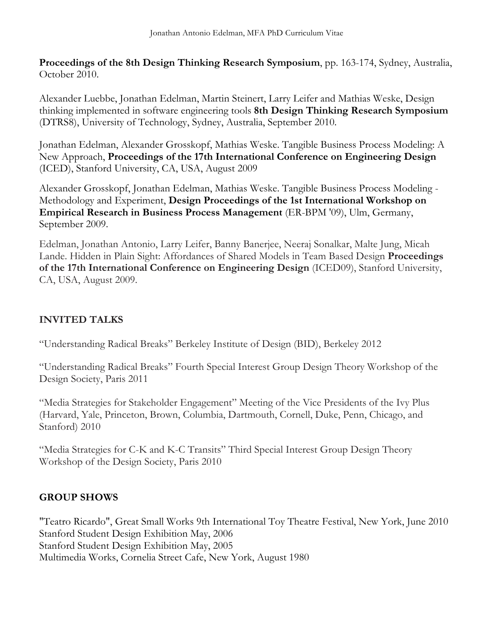**Proceedings of the 8th Design Thinking Research Symposium**, pp. 163-174, Sydney, Australia, October 2010.

Alexander Luebbe, Jonathan Edelman, Martin Steinert, Larry Leifer and Mathias Weske, Design thinking implemented in software engineering tools **8th Design Thinking Research Symposium**  (DTRS8), University of Technology, Sydney, Australia, September 2010.

Jonathan Edelman, Alexander Grosskopf, Mathias Weske. Tangible Business Process Modeling: A New Approach, **Proceedings of the 17th International Conference on Engineering Design** (ICED), Stanford University, CA, USA, August 2009

Alexander Grosskopf, Jonathan Edelman, Mathias Weske. Tangible Business Process Modeling - Methodology and Experiment, **Design Proceedings of the 1st International Workshop on Empirical Research in Business Process Management** (ER-BPM '09), Ulm, Germany, September 2009.

Edelman, Jonathan Antonio, Larry Leifer, Banny Banerjee, Neeraj Sonalkar, Malte Jung, Micah Lande. Hidden in Plain Sight: Affordances of Shared Models in Team Based Design **Proceedings of the 17th International Conference on Engineering Design** (ICED09), Stanford University, CA, USA, August 2009.

# **INVITED TALKS**

"Understanding Radical Breaks" Berkeley Institute of Design (BID), Berkeley 2012

"Understanding Radical Breaks" Fourth Special Interest Group Design Theory Workshop of the Design Society, Paris 2011

"Media Strategies for Stakeholder Engagement" Meeting of the Vice Presidents of the Ivy Plus (Harvard, Yale, Princeton, Brown, Columbia, Dartmouth, Cornell, Duke, Penn, Chicago, and Stanford) 2010

"Media Strategies for C-K and K-C Transits" Third Special Interest Group Design Theory Workshop of the Design Society, Paris 2010

# **GROUP SHOWS**

"Teatro Ricardo", Great Small Works 9th International Toy Theatre Festival, New York, June 2010 Stanford Student Design Exhibition May, 2006 Stanford Student Design Exhibition May, 2005 Multimedia Works, Cornelia Street Cafe, New York, August 1980